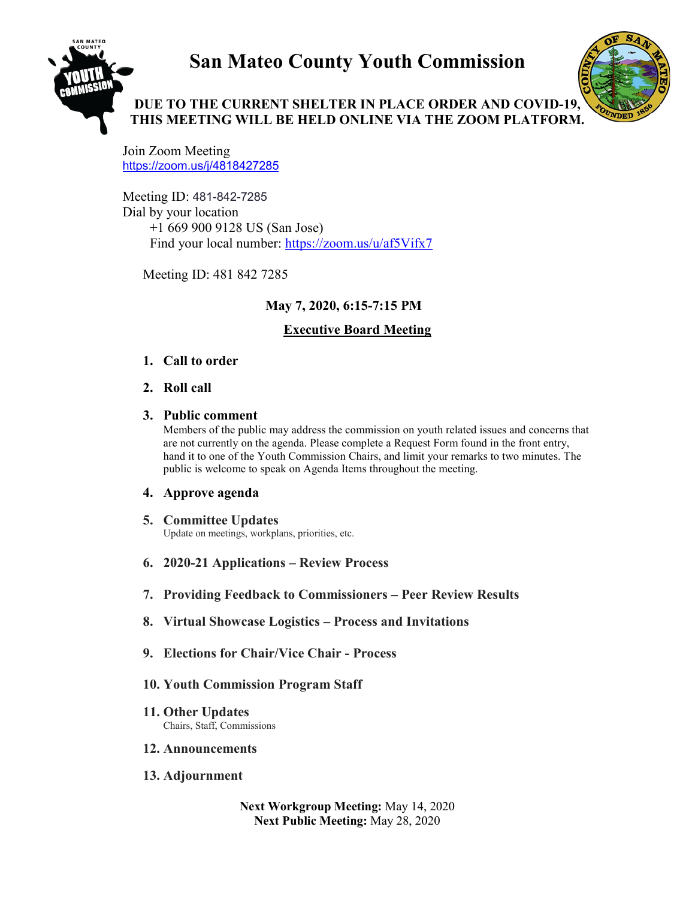# **San Mateo County Youth Commission**



# **DUE TO THE CURRENT SHELTER IN PLACE ORDER AND COVID-19, THIS MEETING WILL BE HELD ONLINE VIA THE ZOOM PLATFORM.**

Join Zoom Meeting <https://zoom.us/j/4818427285>

Meeting ID: 481-842-7285 Dial by your location +1 669 900 9128 US (San Jose) Find your local number:<https://zoom.us/u/af5Vifx7>

Meeting ID: 481 842 7285

# **May 7, 2020, 6:15-7:15 PM**

# **Executive Board Meeting**

#### **1. Call to order**

**2. Roll call** 

#### **3. Public comment**

Members of the public may address the commission on youth related issues and concerns that are not currently on the agenda. Please complete a Request Form found in the front entry, hand it to one of the Youth Commission Chairs, and limit your remarks to two minutes. The public is welcome to speak on Agenda Items throughout the meeting.

#### **4. Approve agenda**

#### **5. Committee Updates** Update on meetings, workplans, priorities, etc.

- **6. 2020-21 Applications – Review Process**
- **7. Providing Feedback to Commissioners – Peer Review Results**
- **8. Virtual Showcase Logistics – Process and Invitations**
- **9. Elections for Chair/Vice Chair - Process**

# **10. Youth Commission Program Staff**

**11. Other Updates** Chairs, Staff, Commissions

#### **12. Announcements**

# **13. Adjournment**

**Next Workgroup Meeting:** May 14, 2020 **Next Public Meeting:** May 28, 2020